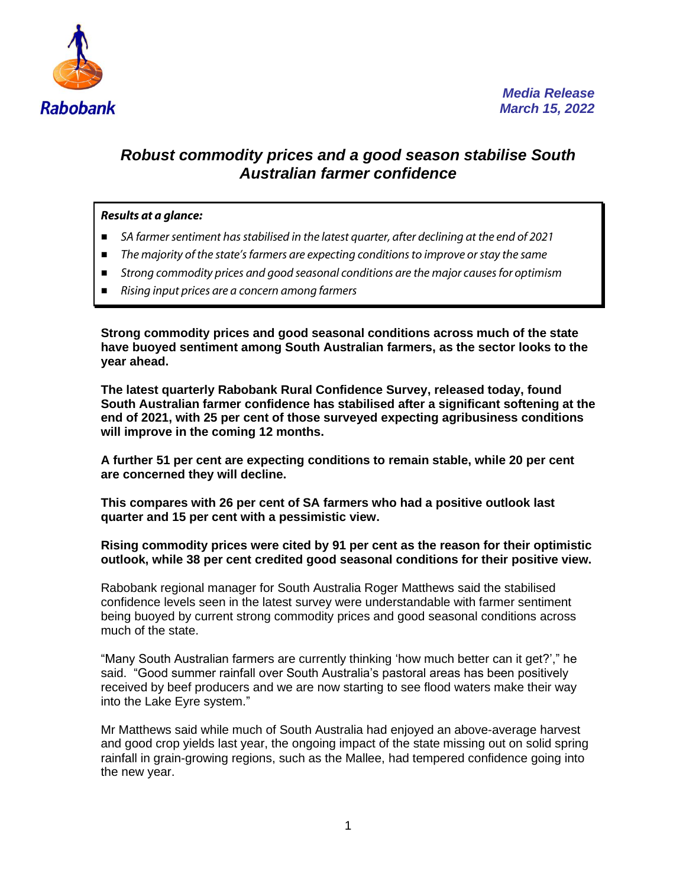

## *Robust commodity prices and a good season stabilise South Australian farmer confidence*

## *Results at a glance:*

- SA farmer sentiment has stabilised in the latest quarter, after declining at the end of 2021
- *The majority of the state'sfarmers are expecting conditions to improve or stay the same*
- **Strong commodity prices and good seasonal conditions are the major causes for optimism**
- *Rising input prices are a concern among farmers*

**Strong commodity prices and good seasonal conditions across much of the state have buoyed sentiment among South Australian farmers, as the sector looks to the year ahead.**

**The latest quarterly Rabobank Rural Confidence Survey, released today, found South Australian farmer confidence has stabilised after a significant softening at the end of 2021, with 25 per cent of those surveyed expecting agribusiness conditions will improve in the coming 12 months.**

**A further 51 per cent are expecting conditions to remain stable, while 20 per cent are concerned they will decline.**

**This compares with 26 per cent of SA farmers who had a positive outlook last quarter and 15 per cent with a pessimistic view.**

**Rising commodity prices were cited by 91 per cent as the reason for their optimistic outlook, while 38 per cent credited good seasonal conditions for their positive view.**

Rabobank regional manager for South Australia Roger Matthews said the stabilised confidence levels seen in the latest survey were understandable with farmer sentiment being buoyed by current strong commodity prices and good seasonal conditions across much of the state.

"Many South Australian farmers are currently thinking 'how much better can it get?'," he said. "Good summer rainfall over South Australia's pastoral areas has been positively received by beef producers and we are now starting to see flood waters make their way into the Lake Eyre system."

Mr Matthews said while much of South Australia had enjoyed an above-average harvest and good crop yields last year, the ongoing impact of the state missing out on solid spring rainfall in grain-growing regions, such as the Mallee, had tempered confidence going into the new year.